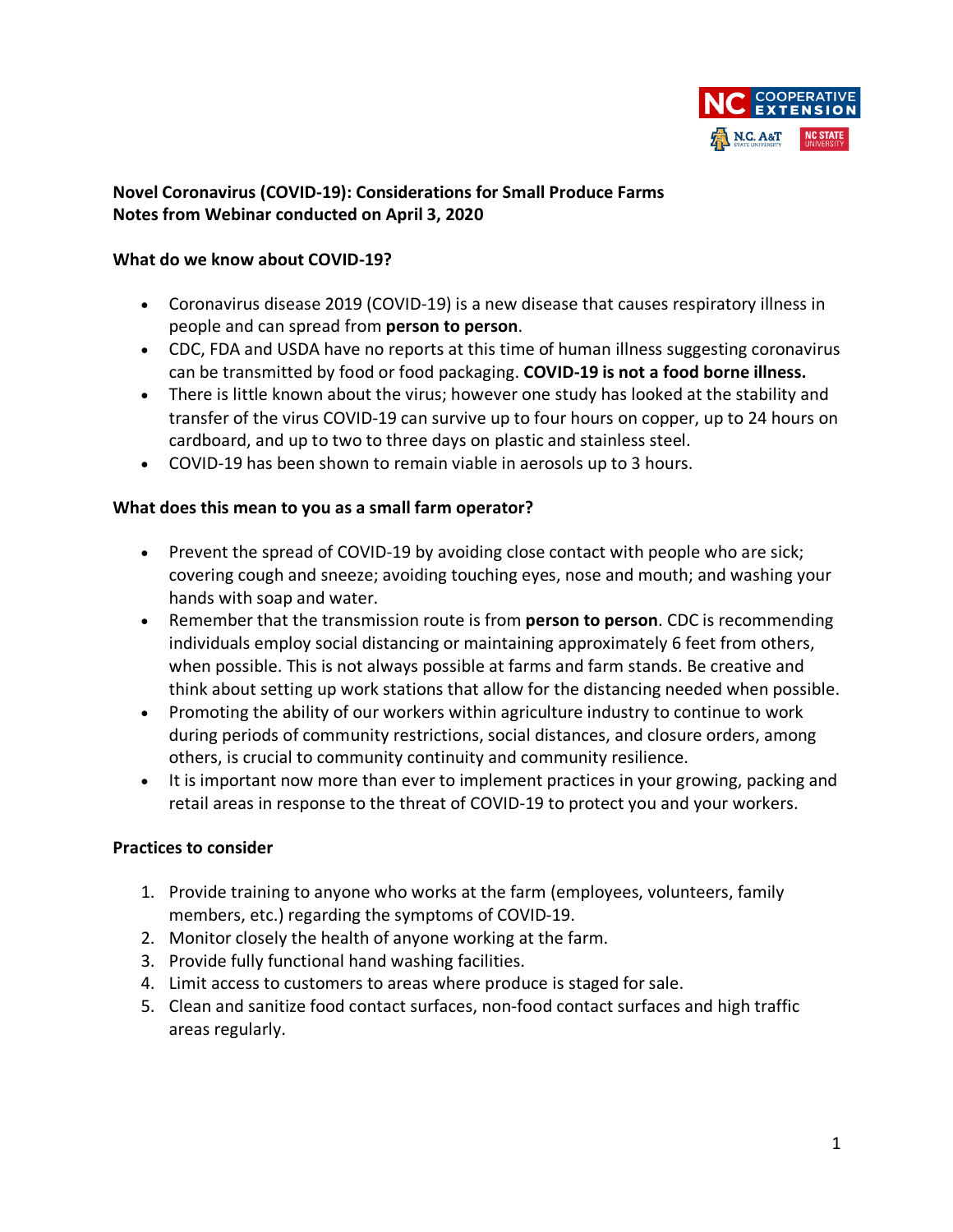

# **Novel Coronavirus (COVID-19): Considerations for Small Produce Farms Notes from Webinar conducted on April 3, 2020**

# **What do we know about COVID-19?**

- Coronavirus disease 2019 (COVID-19) is a new disease that causes respiratory illness in people and can spread from **person to person**.
- CDC, FDA and USDA have no reports at this time of human illness suggesting coronavirus can be transmitted by food or food packaging. **COVID-19 is not a food borne illness.**
- There is little known about the virus; however one study has looked at the stability and transfer of the virus COVID-19 can survive up to four hours on copper, up to 24 hours on cardboard, and up to two to three days on plastic and stainless steel.
- COVID-19 has been shown to remain viable in aerosols up to 3 hours.

# **What does this mean to you as a small farm operator?**

- Prevent the spread of COVID-19 by avoiding close contact with people who are sick; covering cough and sneeze; avoiding touching eyes, nose and mouth; and washing your hands with soap and water.
- Remember that the transmission route is from **person to person**. CDC is recommending individuals employ social distancing or maintaining approximately 6 feet from others, when possible. This is not always possible at farms and farm stands. Be creative and think about setting up work stations that allow for the distancing needed when possible.
- Promoting the ability of our workers within agriculture industry to continue to work during periods of community restrictions, social distances, and closure orders, among others, is crucial to community continuity and community resilience.
- It is important now more than ever to implement practices in your growing, packing and retail areas in response to the threat of COVID-19 to protect you and your workers.

## **Practices to consider**

- 1. Provide training to anyone who works at the farm (employees, volunteers, family members, etc.) regarding the symptoms of COVID-19.
- 2. Monitor closely the health of anyone working at the farm.
- 3. Provide fully functional hand washing facilities.
- 4. Limit access to customers to areas where produce is staged for sale.
- 5. Clean and sanitize food contact surfaces, non-food contact surfaces and high traffic areas regularly.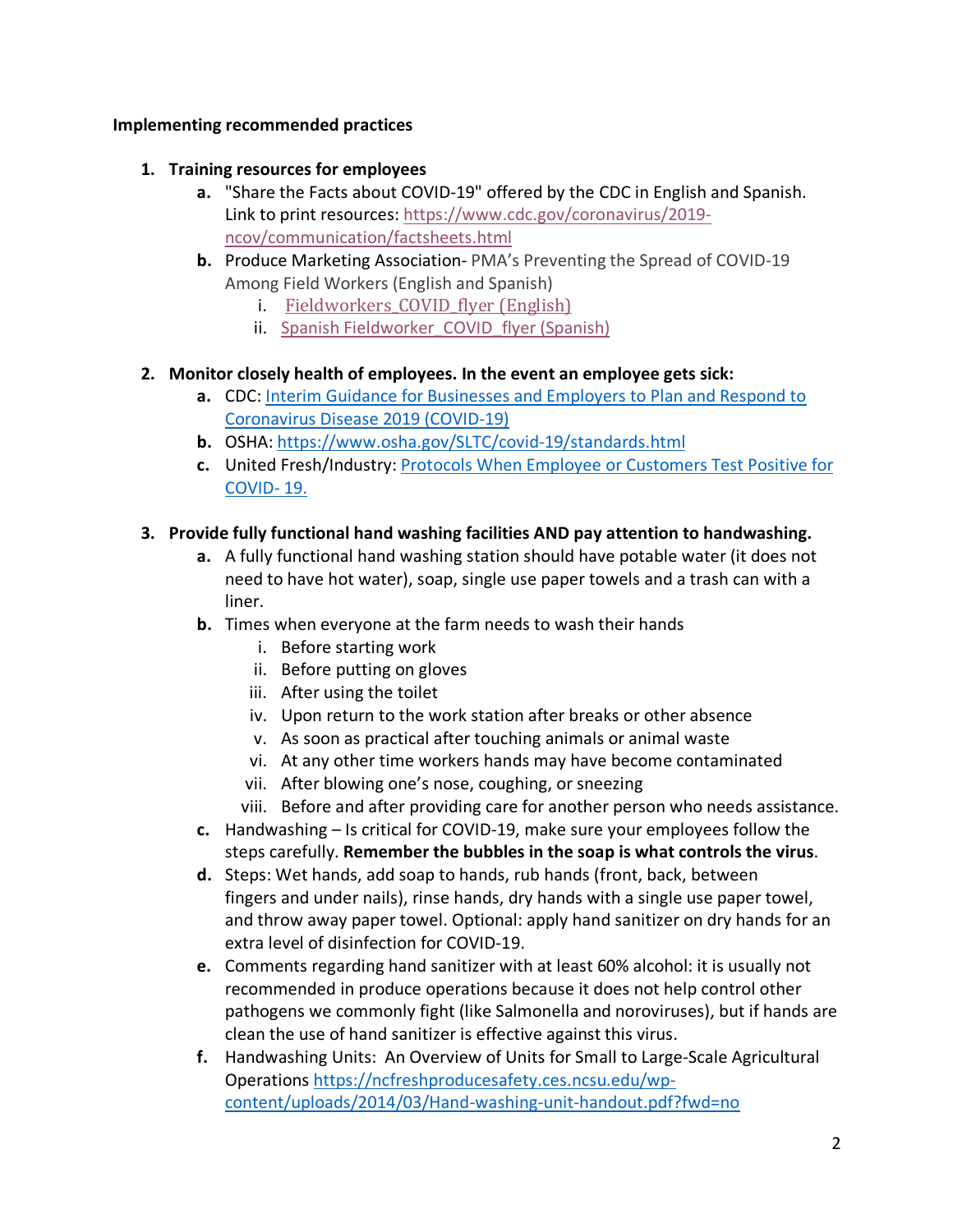# **Implementing recommended practices**

# **1. Training resources for employees**

- **a.** "Share the Facts about COVID-19" offered by the CDC in English and Spanish. Link to print resources: https://www.cdc.gov/coronavirus/2019 ncov/communication/factsheets.html
- **b.** Produce Marketing Association- PMA's Preventing the Spread of COVID-19 Among Field Workers (English and Spanish)
	- i. Fieldworkers COVID flyer (English)
	- ii. Spanish Fieldworker COVID flyer (Spanish)

# **2. Monitor closely health of employees. In the event an employee gets sick:**

- **a.** CDC: Interim Guidance for Businesses and Employers to Plan and Respond to Coronavirus Disease 2019 (COVID-19)
- **b.** OSHA: https://www.osha.gov/SLTC/covid-19/standards.html
- **c.** United Fresh/Industry: Protocols When Employee or Customers Test Positive for COVID- 19.

# **3. Provide fully functional hand washing facilities AND pay attention to handwashing.**

- **a.** A fully functional hand washing station should have potable water (it does not need to have hot water), soap, single use paper towels and a trash can with a liner.
- **b.** Times when everyone at the farm needs to wash their hands
	- i. Before starting work
	- ii. Before putting on gloves
	- iii. After using the toilet
	- iv. Upon return to the work station after breaks or other absence
	- v. As soon as practical after touching animals or animal waste
	- vi. At any other time workers hands may have become contaminated
	- vii. After blowing one's nose, coughing, or sneezing
	- viii. Before and after providing care for another person who needs assistance.
- **c.** Handwashing Is critical for COVID-19, make sure your employees follow the steps carefully. **Remember the bubbles in the soap is what controls the virus**.
- **d.** Steps: Wet hands, add soap to hands, rub hands (front, back, between fingers and under nails), rinse hands, dry hands with a single use paper towel, and throw away paper towel. Optional: apply hand sanitizer on dry hands for an extra level of disinfection for COVID-19.
- **e.** Comments regarding hand sanitizer with at least 60% alcohol: it is usually not recommended in produce operations because it does not help control other pathogens we commonly fight (like Salmonella and noroviruses), but if hands are clean the use of hand sanitizer is effective against this virus.
- **f.** Handwashing Units: An Overview of Units for Small to Large-Scale Agricultural Operations https://ncfreshproducesafety.ces.ncsu.edu/wpcontent/uploads/2014/03/Hand-washing-unit-handout.pdf?fwd=no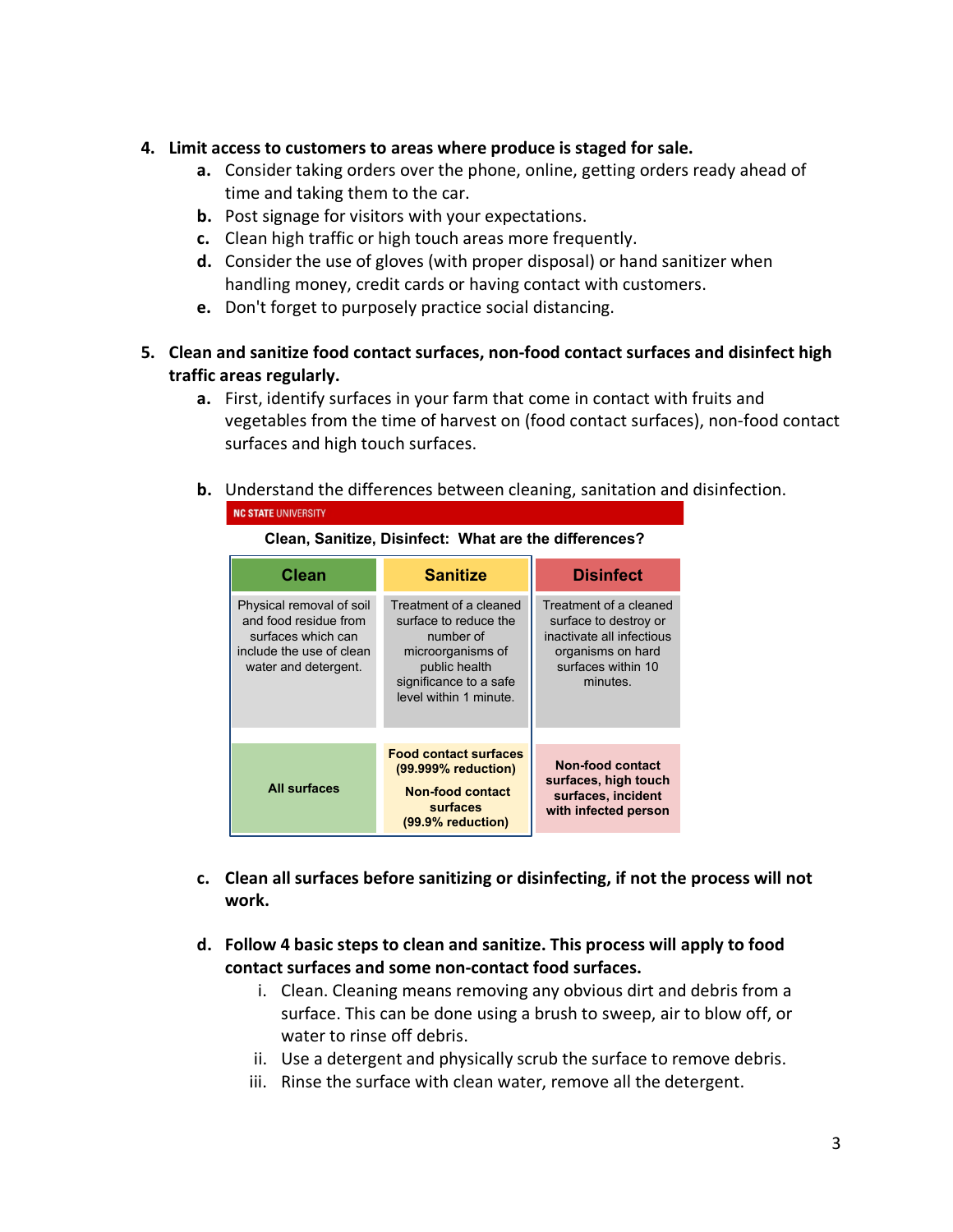## **4. Limit access to customers to areas where produce is staged for sale.**

- **a.** Consider taking orders over the phone, online, getting orders ready ahead of time and taking them to the car.
- **b.** Post signage for visitors with your expectations.
- **c.** Clean high traffic or high touch areas more frequently.
- **d.** Consider the use of gloves (with proper disposal) or hand sanitizer when handling money, credit cards or having contact with customers.
- **e.** Don't forget to purposely practice social distancing.
- **5. Clean and sanitize food contact surfaces, non-food contact surfaces and disinfect high traffic areas regularly.**
	- **a.** First, identify surfaces in your farm that come in contact with fruits and vegetables from the time of harvest on (food contact surfaces), non-food contact surfaces and high touch surfaces.
	- **b.** Understand the differences between cleaning, sanitation and disinfection. NC STATE UNIVERSITY

| Clean                                                                                                                       | <b>Sanitize</b>                                                                                                                                        | <b>Disinfect</b>                                                                                                                    |
|-----------------------------------------------------------------------------------------------------------------------------|--------------------------------------------------------------------------------------------------------------------------------------------------------|-------------------------------------------------------------------------------------------------------------------------------------|
| Physical removal of soil<br>and food residue from<br>surfaces which can<br>include the use of clean<br>water and detergent. | Treatment of a cleaned<br>surface to reduce the<br>number of<br>microorganisms of<br>public health<br>significance to a safe<br>level within 1 minute. | Treatment of a cleaned<br>surface to destroy or<br>inactivate all infectious<br>organisms on hard<br>surfaces within 10<br>minutes. |
| All surfaces                                                                                                                | <b>Food contact surfaces</b><br>$(99.999%$ reduction)<br><b>Non-food contact</b><br>surfaces<br>(99.9% reduction)                                      | Non-food contact<br>surfaces, high touch<br>surfaces, incident<br>with infected person                                              |

#### **Clean, Sanitize, Disinfect: What are the differences?**

- **c. Clean all surfaces before sanitizing or disinfecting, if not the process will not work.**
- **d. Follow 4 basic steps to clean and sanitize. This process will apply to food contact surfaces and some non-contact food surfaces.**
	- i. Clean. Cleaning means removing any obvious dirt and debris from a surface. This can be done using a brush to sweep, air to blow off, or water to rinse off debris.
	- ii. Use a detergent and physically scrub the surface to remove debris.
	- iii. Rinse the surface with clean water, remove all the detergent.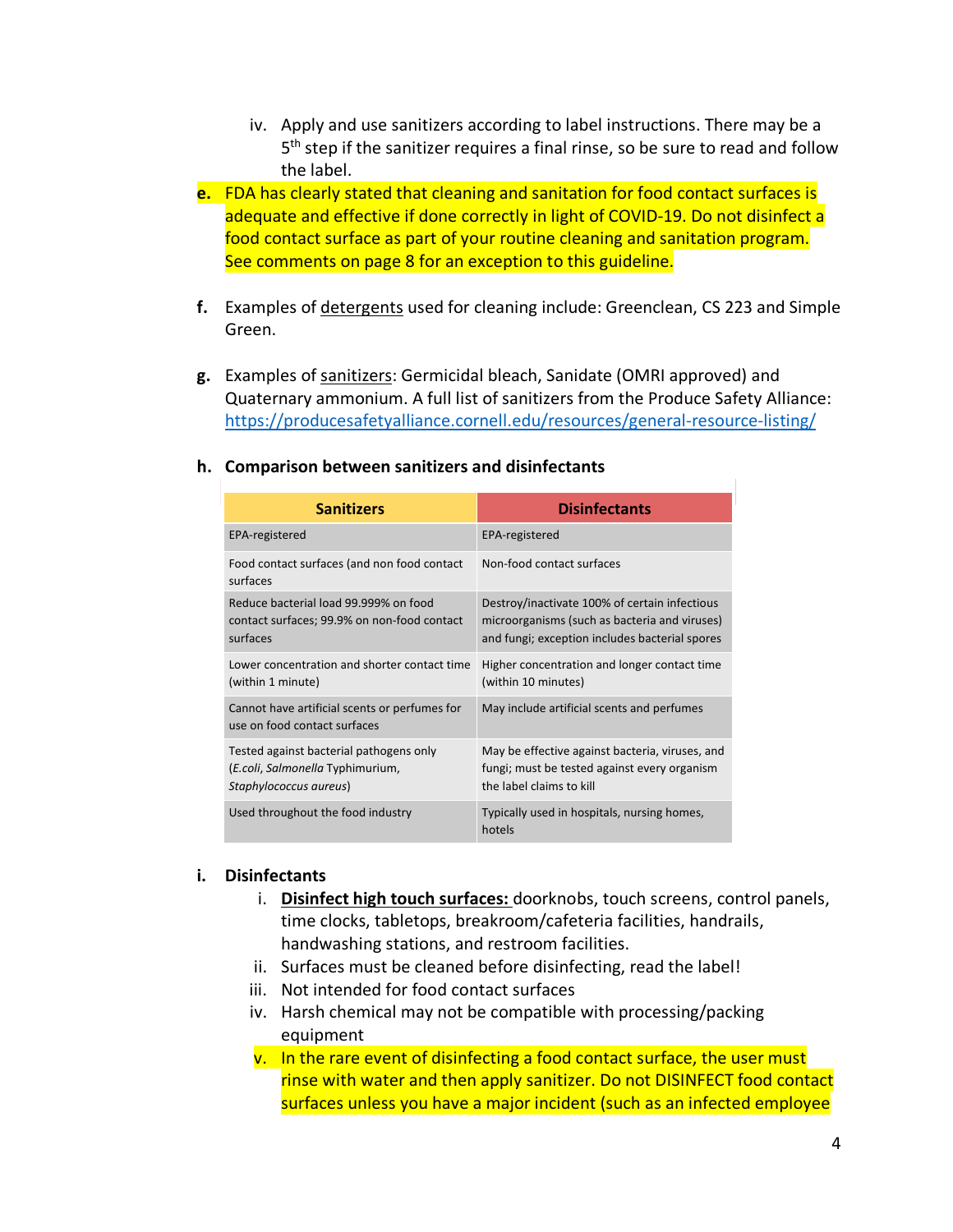- iv. Apply and use sanitizers according to label instructions. There may be a 5<sup>th</sup> step if the sanitizer requires a final rinse, so be sure to read and follow the label.
- **e.** FDA has clearly stated that cleaning and sanitation for food contact surfaces is adequate and effective if done correctly in light of COVID-19. Do not disinfect a food contact surface as part of your routine cleaning and sanitation program. See comments on page 8 for an exception to this guideline.
- **f.** Examples of detergents used for cleaning include: Greenclean, CS 223 and Simple Green.
- **g.** Examples of sanitizers: Germicidal bleach, Sanidate (OMRI approved) and Quaternary ammonium. A full list of sanitizers from the Produce Safety Alliance: https://producesafetyalliance.cornell.edu/resources/general-resource-listing/

| <b>Sanitizers</b>                                                                                     | <b>Disinfectants</b>                                                                                                                             |
|-------------------------------------------------------------------------------------------------------|--------------------------------------------------------------------------------------------------------------------------------------------------|
| EPA-registered                                                                                        | EPA-registered                                                                                                                                   |
| Food contact surfaces (and non food contact<br>surfaces                                               | Non-food contact surfaces                                                                                                                        |
| Reduce bacterial load 99.999% on food<br>contact surfaces; 99.9% on non-food contact<br>surfaces      | Destroy/inactivate 100% of certain infectious<br>microorganisms (such as bacteria and viruses)<br>and fungi; exception includes bacterial spores |
| Lower concentration and shorter contact time<br>(within 1 minute)                                     | Higher concentration and longer contact time<br>(within 10 minutes)                                                                              |
| Cannot have artificial scents or perfumes for<br>use on food contact surfaces                         | May include artificial scents and perfumes                                                                                                       |
| Tested against bacterial pathogens only<br>(E.coli, Salmonella Typhimurium,<br>Staphylococcus aureus) | May be effective against bacteria, viruses, and<br>fungi; must be tested against every organism<br>the label claims to kill                      |
| Used throughout the food industry                                                                     | Typically used in hospitals, nursing homes,<br>hotels                                                                                            |

#### **h. Comparison between sanitizers and disinfectants**

#### **i. Disinfectants**

- i. **Disinfect high touch surfaces:** doorknobs, touch screens, control panels, time clocks, tabletops, breakroom/cafeteria facilities, handrails, handwashing stations, and restroom facilities.
- ii. Surfaces must be cleaned before disinfecting, read the label!
- iii. Not intended for food contact surfaces
- iv. Harsh chemical may not be compatible with processing/packing equipment
- v. In the rare event of disinfecting a food contact surface, the user must rinse with water and then apply sanitizer. Do not DISINFECT food contact surfaces unless you have a major incident (such as an infected employee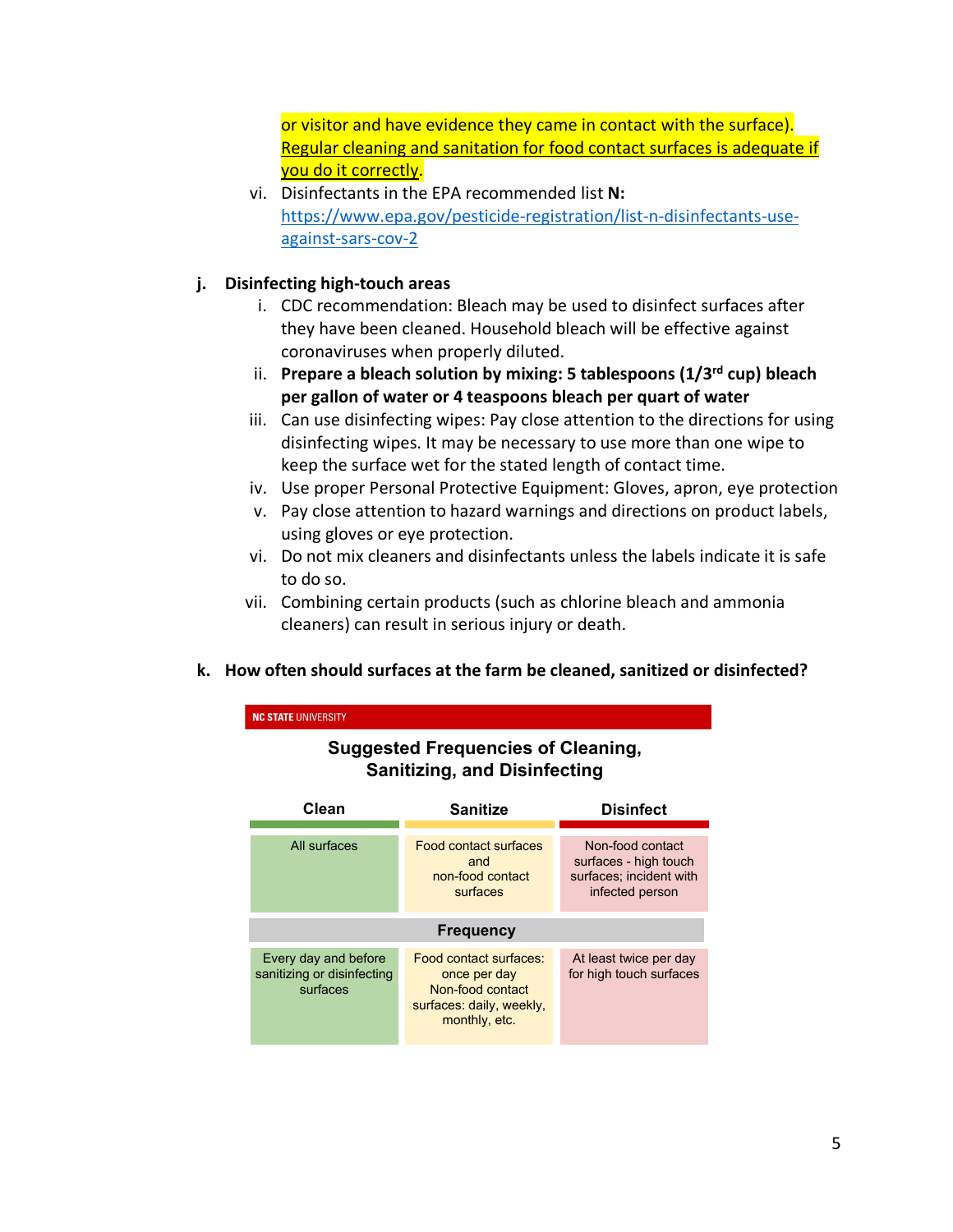or visitor and have evidence they came in contact with the surface). Regular cleaning and sanitation for food contact surfaces is adequate if you do it correctly.

vi. Disinfectants in the EPA recommended list **N:** https://www.epa.gov/pesticide-registration/list-n-disinfectants-useagainst-sars-cov-2

# **j. Disinfecting high-touch areas**

- i. CDC recommendation: Bleach may be used to disinfect surfaces after they have been cleaned. Household bleach will be effective against coronaviruses when properly diluted.
- ii. **Prepare a bleach solution by mixing: 5 tablespoons (1/3rd cup) bleach per gallon of water or 4 teaspoons bleach per quart of water**
- iii. Can use disinfecting wipes: Pay close attention to the directions for using disinfecting wipes. It may be necessary to use more than one wipe to keep the surface wet for the stated length of contact time.
- iv. Use proper Personal Protective Equipment: Gloves, apron, eye protection
- v. Pay close attention to hazard warnings and directions on product labels, using gloves or eye protection.
- vi. Do not mix cleaners and disinfectants unless the labels indicate it is safe to do so.
- vii. Combining certain products (such as chlorine bleach and ammonia cleaners) can result in serious injury or death.

### **k. How often should surfaces at the farm be cleaned, sanitized or disinfected?**

| <b>NC STATE UNIVERSITY</b>                                                       |                                                                                                         |                                                                                         |  |
|----------------------------------------------------------------------------------|---------------------------------------------------------------------------------------------------------|-----------------------------------------------------------------------------------------|--|
| <b>Suggested Frequencies of Cleaning,</b><br><b>Sanitizing, and Disinfecting</b> |                                                                                                         |                                                                                         |  |
| Clean                                                                            | <b>Sanitize</b>                                                                                         | <b>Disinfect</b>                                                                        |  |
| All surfaces                                                                     | Food contact surfaces<br>and<br>non-food contact<br>surfaces                                            | Non-food contact<br>surfaces - high touch<br>surfaces; incident with<br>infected person |  |
| <b>Frequency</b>                                                                 |                                                                                                         |                                                                                         |  |
| Every day and before<br>sanitizing or disinfecting<br>surfaces                   | Food contact surfaces:<br>once per day<br>Non-food contact<br>surfaces: daily, weekly,<br>monthly, etc. | At least twice per day<br>for high touch surfaces                                       |  |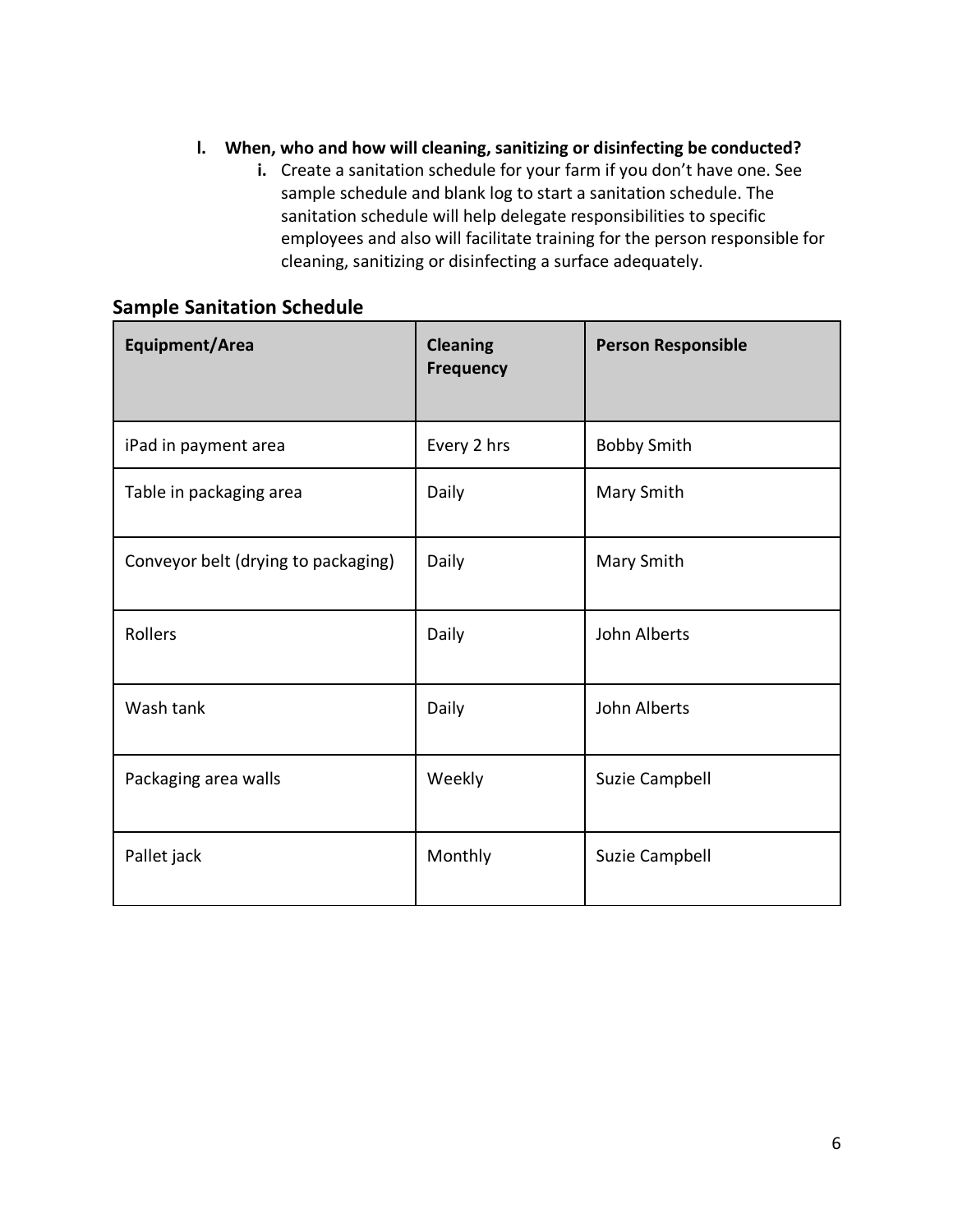# **l. When, who and how will cleaning, sanitizing or disinfecting be conducted?**

**i.** Create a sanitation schedule for your farm if you don't have one. See sample schedule and blank log to start a sanitation schedule. The sanitation schedule will help delegate responsibilities to specific employees and also will facilitate training for the person responsible for cleaning, sanitizing or disinfecting a surface adequately.

# **Sample Sanitation Schedule**

| <b>Equipment/Area</b>               | <b>Cleaning</b><br><b>Frequency</b> | <b>Person Responsible</b> |
|-------------------------------------|-------------------------------------|---------------------------|
| iPad in payment area                | Every 2 hrs                         | <b>Bobby Smith</b>        |
| Table in packaging area             | Daily                               | Mary Smith                |
| Conveyor belt (drying to packaging) | Daily                               | Mary Smith                |
| Rollers                             | Daily                               | John Alberts              |
| Wash tank                           | Daily                               | John Alberts              |
| Packaging area walls                | Weekly                              | Suzie Campbell            |
| Pallet jack                         | Monthly                             | Suzie Campbell            |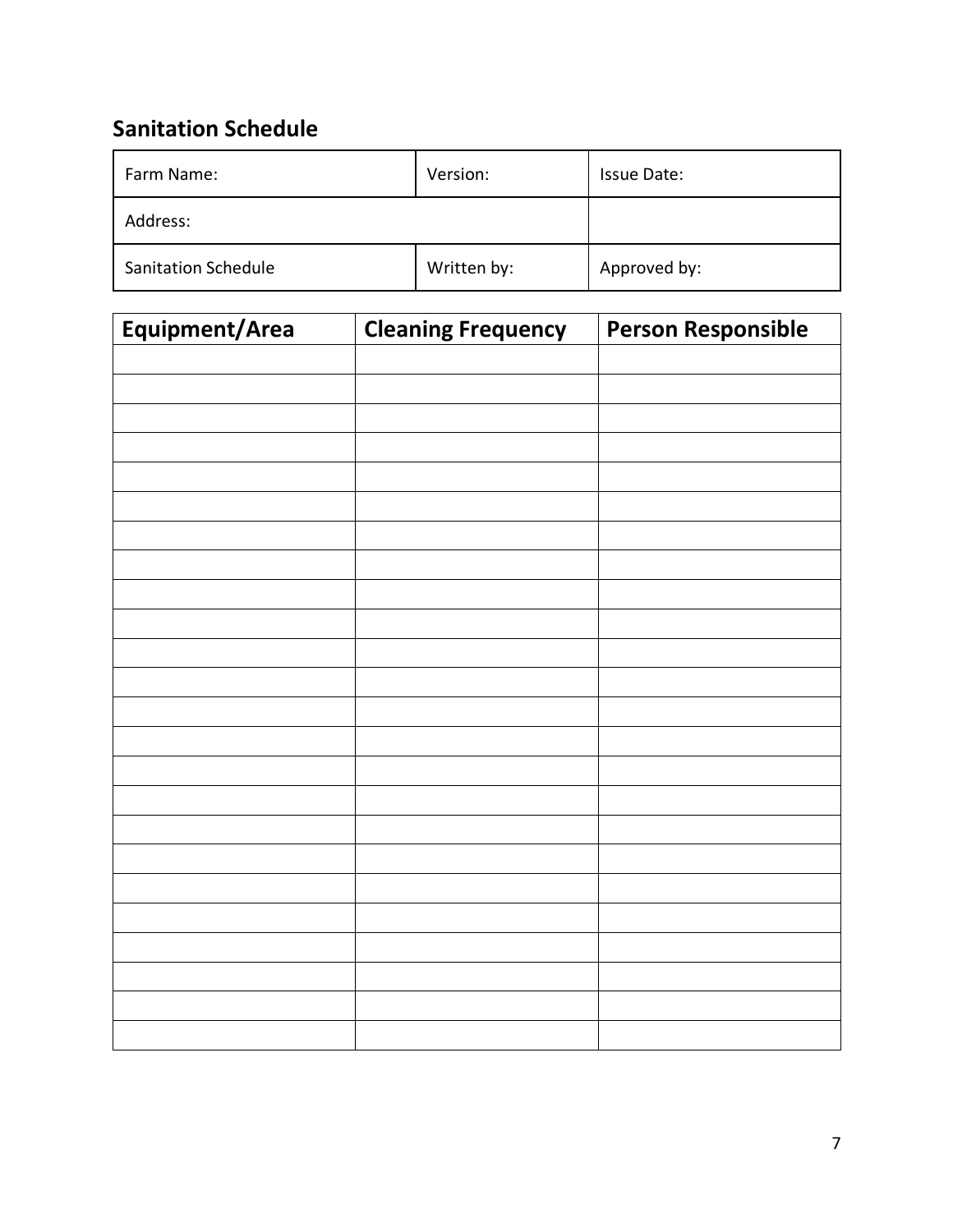# **Sanitation Schedule**

| Farm Name:                 | Version:    | Issue Date:  |
|----------------------------|-------------|--------------|
| Address:                   |             |              |
| <b>Sanitation Schedule</b> | Written by: | Approved by: |

| Equipment/Area | <b>Cleaning Frequency</b> | <b>Person Responsible</b> |
|----------------|---------------------------|---------------------------|
|                |                           |                           |
|                |                           |                           |
|                |                           |                           |
|                |                           |                           |
|                |                           |                           |
|                |                           |                           |
|                |                           |                           |
|                |                           |                           |
|                |                           |                           |
|                |                           |                           |
|                |                           |                           |
|                |                           |                           |
|                |                           |                           |
|                |                           |                           |
|                |                           |                           |
|                |                           |                           |
|                |                           |                           |
|                |                           |                           |
|                |                           |                           |
|                |                           |                           |
|                |                           |                           |
|                |                           |                           |
|                |                           |                           |
|                |                           |                           |